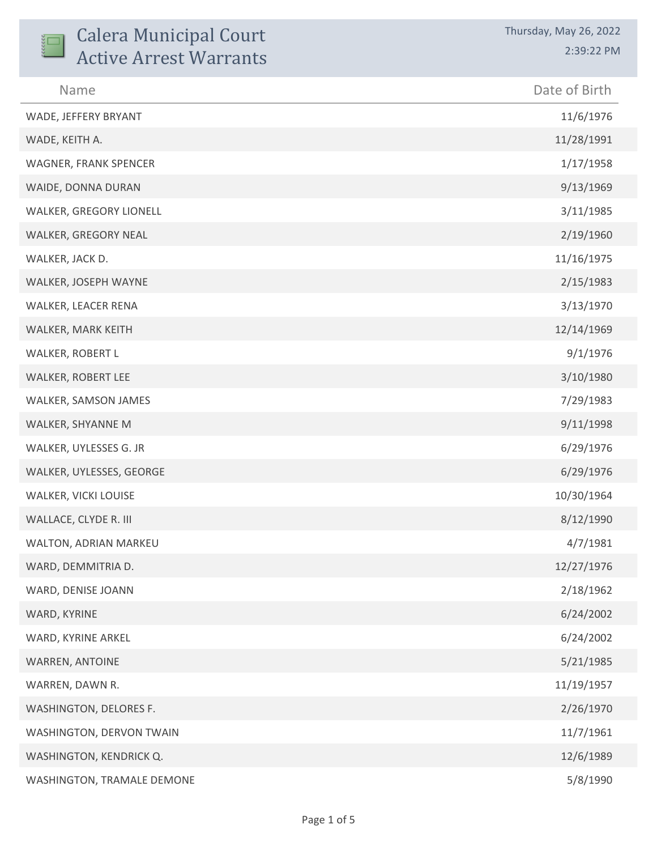| <b>Calera Municipal Court</b> | Thursday, May 26, 2022 |
|-------------------------------|------------------------|
| <b>Active Arrest Warrants</b> | 2:39:22 PM             |
| Name                          | Date of Birth          |
| WADE, JEFFERY BRYANT          | 11/6/1976              |
| WADE, KEITH A.                | 11/28/1991             |
| WAGNER, FRANK SPENCER         | 1/17/1958              |
| WAIDE, DONNA DURAN            | 9/13/1969              |
| WALKER, GREGORY LIONELL       | 3/11/1985              |
| WALKER, GREGORY NEAL          | 2/19/1960              |
| WALKER, JACK D.               | 11/16/1975             |
| WALKER, JOSEPH WAYNE          | 2/15/1983              |
| WALKER, LEACER RENA           | 3/13/1970              |
| WALKER, MARK KEITH            | 12/14/1969             |
| WALKER, ROBERT L              | 9/1/1976               |
| WALKER, ROBERT LEE            | 3/10/1980              |
| WALKER, SAMSON JAMES          | 7/29/1983              |
| WALKER, SHYANNE M             | 9/11/1998              |
| WALKER, UYLESSES G. JR        | 6/29/1976              |
| WALKER, UYLESSES, GEORGE      | 6/29/1976              |
| WALKER, VICKI LOUISE          | 10/30/1964             |
| WALLACE, CLYDE R. III         | 8/12/1990              |
| WALTON, ADRIAN MARKEU         | 4/7/1981               |
| WARD, DEMMITRIA D.            | 12/27/1976             |
| WARD, DENISE JOANN            | 2/18/1962              |
| WARD, KYRINE                  | 6/24/2002              |
| WARD, KYRINE ARKEL            | 6/24/2002              |
| WARREN, ANTOINE               | 5/21/1985              |
| WARREN, DAWN R.               | 11/19/1957             |
| WASHINGTON, DELORES F.        | 2/26/1970              |
| WASHINGTON, DERVON TWAIN      | 11/7/1961              |
| WASHINGTON, KENDRICK Q.       | 12/6/1989              |
| WASHINGTON, TRAMALE DEMONE    | 5/8/1990               |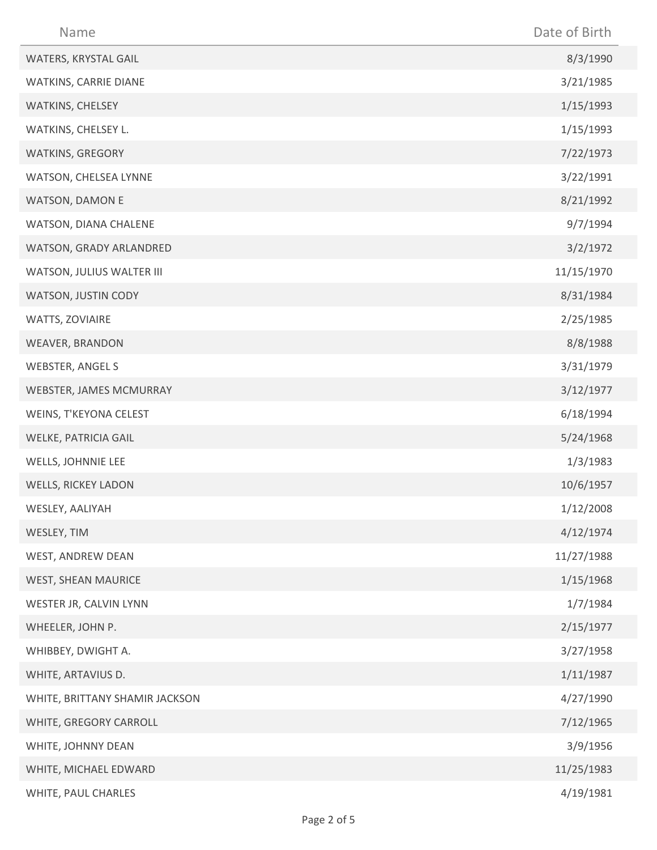| Name                           | Date of Birth |
|--------------------------------|---------------|
| WATERS, KRYSTAL GAIL           | 8/3/1990      |
| WATKINS, CARRIE DIANE          | 3/21/1985     |
| WATKINS, CHELSEY               | 1/15/1993     |
| WATKINS, CHELSEY L.            | 1/15/1993     |
| WATKINS, GREGORY               | 7/22/1973     |
| WATSON, CHELSEA LYNNE          | 3/22/1991     |
| <b>WATSON, DAMON E</b>         | 8/21/1992     |
| WATSON, DIANA CHALENE          | 9/7/1994      |
| WATSON, GRADY ARLANDRED        | 3/2/1972      |
| WATSON, JULIUS WALTER III      | 11/15/1970    |
| WATSON, JUSTIN CODY            | 8/31/1984     |
| WATTS, ZOVIAIRE                | 2/25/1985     |
| WEAVER, BRANDON                | 8/8/1988      |
| <b>WEBSTER, ANGEL S</b>        | 3/31/1979     |
| WEBSTER, JAMES MCMURRAY        | 3/12/1977     |
| WEINS, T'KEYONA CELEST         | 6/18/1994     |
| WELKE, PATRICIA GAIL           | 5/24/1968     |
| WELLS, JOHNNIE LEE             | 1/3/1983      |
| <b>WELLS, RICKEY LADON</b>     | 10/6/1957     |
| WESLEY, AALIYAH                | 1/12/2008     |
| WESLEY, TIM                    | 4/12/1974     |
| WEST, ANDREW DEAN              | 11/27/1988    |
| WEST, SHEAN MAURICE            | 1/15/1968     |
| WESTER JR, CALVIN LYNN         | 1/7/1984      |
| WHEELER, JOHN P.               | 2/15/1977     |
| WHIBBEY, DWIGHT A.             | 3/27/1958     |
| WHITE, ARTAVIUS D.             | 1/11/1987     |
| WHITE, BRITTANY SHAMIR JACKSON | 4/27/1990     |
| WHITE, GREGORY CARROLL         | 7/12/1965     |
| WHITE, JOHNNY DEAN             | 3/9/1956      |
| WHITE, MICHAEL EDWARD          | 11/25/1983    |
| WHITE, PAUL CHARLES            | 4/19/1981     |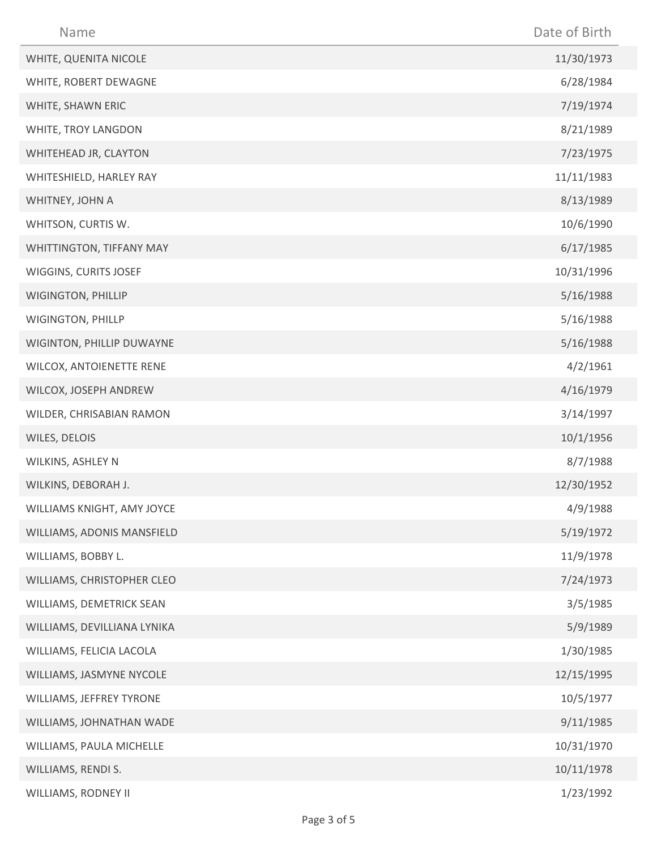| Name                        | Date of Birth |
|-----------------------------|---------------|
| WHITE, QUENITA NICOLE       | 11/30/1973    |
| WHITE, ROBERT DEWAGNE       | 6/28/1984     |
| WHITE, SHAWN ERIC           | 7/19/1974     |
| WHITE, TROY LANGDON         | 8/21/1989     |
| WHITEHEAD JR, CLAYTON       | 7/23/1975     |
| WHITESHIELD, HARLEY RAY     | 11/11/1983    |
| WHITNEY, JOHN A             | 8/13/1989     |
| WHITSON, CURTIS W.          | 10/6/1990     |
| WHITTINGTON, TIFFANY MAY    | 6/17/1985     |
| WIGGINS, CURITS JOSEF       | 10/31/1996    |
| WIGINGTON, PHILLIP          | 5/16/1988     |
| WIGINGTON, PHILLP           | 5/16/1988     |
| WIGINTON, PHILLIP DUWAYNE   | 5/16/1988     |
| WILCOX, ANTOIENETTE RENE    | 4/2/1961      |
| WILCOX, JOSEPH ANDREW       | 4/16/1979     |
| WILDER, CHRISABIAN RAMON    | 3/14/1997     |
| WILES, DELOIS               | 10/1/1956     |
| WILKINS, ASHLEY N           | 8/7/1988      |
| WILKINS, DEBORAH J.         | 12/30/1952    |
| WILLIAMS KNIGHT, AMY JOYCE  | 4/9/1988      |
| WILLIAMS, ADONIS MANSFIELD  | 5/19/1972     |
| WILLIAMS, BOBBY L.          | 11/9/1978     |
| WILLIAMS, CHRISTOPHER CLEO  | 7/24/1973     |
| WILLIAMS, DEMETRICK SEAN    | 3/5/1985      |
| WILLIAMS, DEVILLIANA LYNIKA | 5/9/1989      |
| WILLIAMS, FELICIA LACOLA    | 1/30/1985     |
| WILLIAMS, JASMYNE NYCOLE    | 12/15/1995    |
| WILLIAMS, JEFFREY TYRONE    | 10/5/1977     |
| WILLIAMS, JOHNATHAN WADE    | 9/11/1985     |
| WILLIAMS, PAULA MICHELLE    | 10/31/1970    |
| WILLIAMS, RENDI S.          | 10/11/1978    |
| WILLIAMS, RODNEY II         | 1/23/1992     |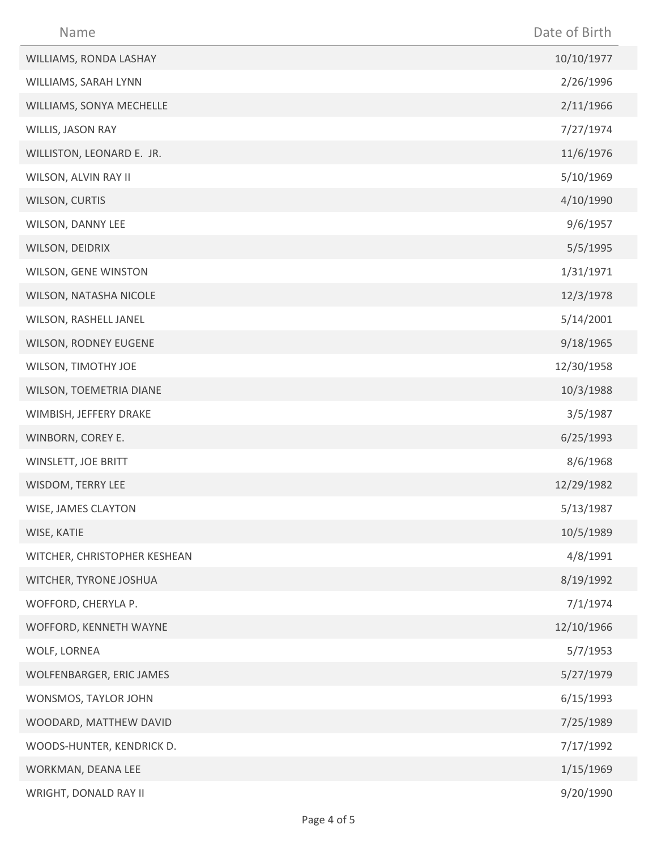| Name                         | Date of Birth |
|------------------------------|---------------|
| WILLIAMS, RONDA LASHAY       | 10/10/1977    |
| WILLIAMS, SARAH LYNN         | 2/26/1996     |
| WILLIAMS, SONYA MECHELLE     | 2/11/1966     |
| WILLIS, JASON RAY            | 7/27/1974     |
| WILLISTON, LEONARD E. JR.    | 11/6/1976     |
| WILSON, ALVIN RAY II         | 5/10/1969     |
| WILSON, CURTIS               | 4/10/1990     |
| WILSON, DANNY LEE            | 9/6/1957      |
| WILSON, DEIDRIX              | 5/5/1995      |
| WILSON, GENE WINSTON         | 1/31/1971     |
| WILSON, NATASHA NICOLE       | 12/3/1978     |
| WILSON, RASHELL JANEL        | 5/14/2001     |
| WILSON, RODNEY EUGENE        | 9/18/1965     |
| WILSON, TIMOTHY JOE          | 12/30/1958    |
| WILSON, TOEMETRIA DIANE      | 10/3/1988     |
| WIMBISH, JEFFERY DRAKE       | 3/5/1987      |
| WINBORN, COREY E.            | 6/25/1993     |
| WINSLETT, JOE BRITT          | 8/6/1968      |
| WISDOM, TERRY LEE            | 12/29/1982    |
| WISE, JAMES CLAYTON          | 5/13/1987     |
| WISE, KATIE                  | 10/5/1989     |
| WITCHER, CHRISTOPHER KESHEAN | 4/8/1991      |
| WITCHER, TYRONE JOSHUA       | 8/19/1992     |
| WOFFORD, CHERYLA P.          | 7/1/1974      |
| WOFFORD, KENNETH WAYNE       | 12/10/1966    |
| WOLF, LORNEA                 | 5/7/1953      |
| WOLFENBARGER, ERIC JAMES     | 5/27/1979     |
| WONSMOS, TAYLOR JOHN         | 6/15/1993     |
| WOODARD, MATTHEW DAVID       | 7/25/1989     |
| WOODS-HUNTER, KENDRICK D.    | 7/17/1992     |
| WORKMAN, DEANA LEE           | 1/15/1969     |
| WRIGHT, DONALD RAY II        | 9/20/1990     |